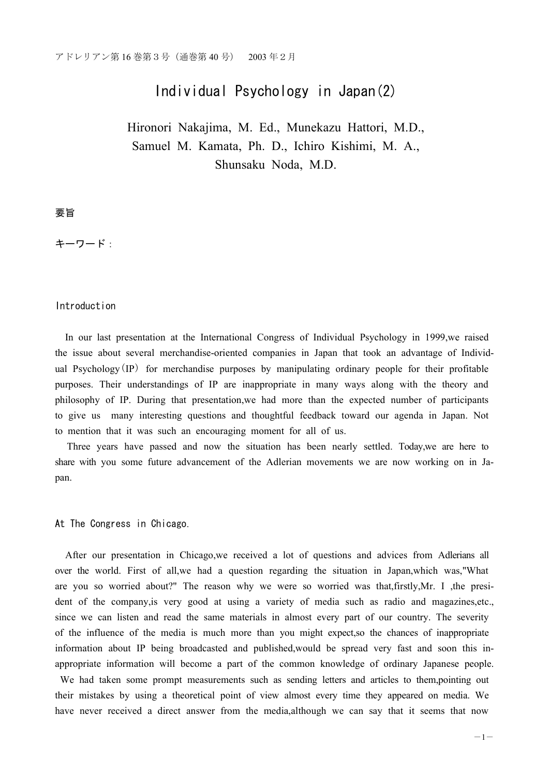# Individual Psychology in Japan(2)

Hironori Nakajima, M. Ed., Munekazu Hattori, M.D., Samuel M. Kamata, Ph. D., Ichiro Kishimi, M. A., Shunsaku Noda, M.D.

## 要旨

キーワード:

#### Introduction

In our last presentation at the International Congress of Individual Psychology in 1999,we raised the issue about several merchandise-oriented companies in Japan that took an advantage of Individual Psychology $(\mathbf{IP})$  for merchandise purposes by manipulating ordinary people for their profitable purposes. Their understandings of IP are inappropriate in many ways along with the theory and philosophy of IP. During that presentation,we had more than the expected number of participants to give us many interesting questions and thoughtful feedback toward our agenda in Japan. Not to mention that it was such an encouraging moment for all of us.

Three years have passed and now the situation has been nearly settled. Today,we are here to share with you some future advancement of the Adlerian movements we are now working on in Japan.

### At The Congress in Chicago.

After our presentation in Chicago,we received a lot of questions and advices from Adlerians all over the world. First of all,we had a question regarding the situation in Japan,which was,"What are you so worried about?" The reason why we were so worried was that,firstly,Mr. I ,the president of the company,is very good at using a variety of media such as radio and magazines,etc., since we can listen and read the same materials in almost every part of our country. The severity of the influence of the media is much more than you might expect,so the chances of inappropriate information about IP being broadcasted and published,would be spread very fast and soon this inappropriate information will become a part of the common knowledge of ordinary Japanese people. We had taken some prompt measurements such as sending letters and articles to them,pointing out

their mistakes by using a theoretical point of view almost every time they appeared on media. We have never received a direct answer from the media,although we can say that it seems that now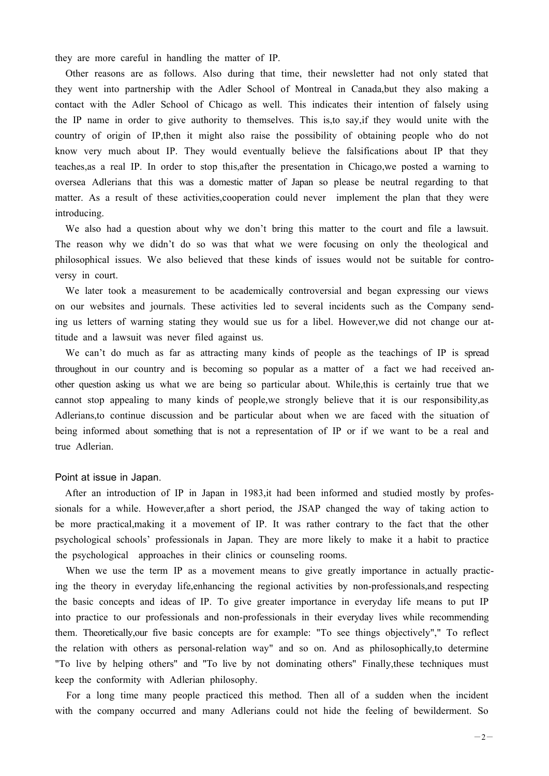they are more careful in handling the matter of IP.

Other reasons are as follows. Also during that time, their newsletter had not only stated that they went into partnership with the Adler School of Montreal in Canada,but they also making a contact with the Adler School of Chicago as well. This indicates their intention of falsely using the IP name in order to give authority to themselves. This is,to say,if they would unite with the country of origin of IP,then it might also raise the possibility of obtaining people who do not know very much about IP. They would eventually believe the falsifications about IP that they teaches,as a real IP. In order to stop this,after the presentation in Chicago,we posted a warning to oversea Adlerians that this was a domestic matter of Japan so please be neutral regarding to that matter. As a result of these activities,cooperation could never implement the plan that they were introducing.

We also had a question about why we don't bring this matter to the court and file a lawsuit. The reason why we didn't do so was that what we were focusing on only the theological and philosophical issues. We also believed that these kinds of issues would not be suitable for controversy in court.

We later took a measurement to be academically controversial and began expressing our views on our websites and journals. These activities led to several incidents such as the Company sending us letters of warning stating they would sue us for a libel. However,we did not change our attitude and a lawsuit was never filed against us.

We can't do much as far as attracting many kinds of people as the teachings of IP is spread throughout in our country and is becoming so popular as a matter of a fact we had received another question asking us what we are being so particular about. While,this is certainly true that we cannot stop appealing to many kinds of people,we strongly believe that it is our responsibility,as Adlerians,to continue discussion and be particular about when we are faced with the situation of being informed about something that is not a representation of IP or if we want to be a real and true Adlerian.

#### Point at issue in Japan.

After an introduction of IP in Japan in 1983, it had been informed and studied mostly by professionals for a while. However,after a short period, the JSAP changed the way of taking action to be more practical,making it a movement of IP. It was rather contrary to the fact that the other psychological schools' professionals in Japan. They are more likely to make it a habit to practice the psychological approaches in their clinics or counseling rooms.

When we use the term IP as a movement means to give greatly importance in actually practicing the theory in everyday life,enhancing the regional activities by non-professionals,and respecting the basic concepts and ideas of IP. To give greater importance in everyday life means to put IP into practice to our professionals and non-professionals in their everyday lives while recommending them. Theoretically,our five basic concepts are for example: "To see things objectively"," To reflect the relation with others as personal-relation way" and so on. And as philosophically,to determine "To live by helping others" and "To live by not dominating others" Finally,these techniques must keep the conformity with Adlerian philosophy.

For a long time many people practiced this method. Then all of a sudden when the incident with the company occurred and many Adlerians could not hide the feeling of bewilderment. So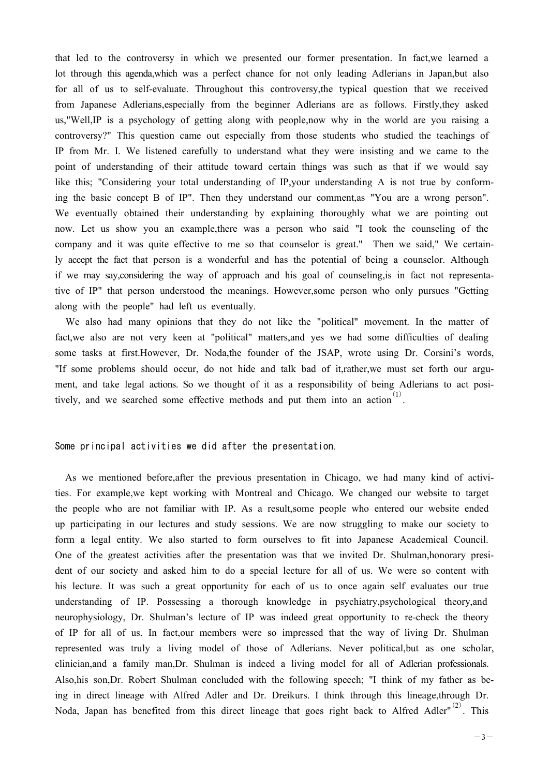that led to the controversy in which we presented our former presentation. In fact,we learned a lot through this agenda,which was a perfect chance for not only leading Adlerians in Japan,but also for all of us to self-evaluate. Throughout this controversy,the typical question that we received from Japanese Adlerians,especially from the beginner Adlerians are as follows. Firstly,they asked us,"Well,IP is a psychology of getting along with people,now why in the world are you raising a controversy?" This question came out especially from those students who studied the teachings of IP from Mr. I. We listened carefully to understand what they were insisting and we came to the point of understanding of their attitude toward certain things was such as that if we would say like this; "Considering your total understanding of IP,your understanding A is not true by conforming the basic concept B of IP". Then they understand our comment,as "You are a wrong person". We eventually obtained their understanding by explaining thoroughly what we are pointing out now. Let us show you an example,there was a person who said "I took the counseling of the company and it was quite effective to me so that counselor is great." Then we said," We certainly accept the fact that person is a wonderful and has the potential of being a counselor. Although if we may say,considering the way of approach and his goal of counseling,is in fact not representative of IP" that person understood the meanings. However,some person who only pursues "Getting along with the people" had left us eventually.

We also had many opinions that they do not like the "political" movement. In the matter of fact,we also are not very keen at "political" matters,and yes we had some difficulties of dealing some tasks at first.However, Dr. Noda,the founder of the JSAP, wrote using Dr. Corsini's words, "If some problems should occur, do not hide and talk bad of it,rather,we must set forth our argument, and take legal actions. So we thought of it as a responsibility of being Adlerians to act positively, and we searched some effective methods and put them into an action  $(1)$ .

Some principal activities we did after the presentation.

As we mentioned before,after the previous presentation in Chicago, we had many kind of activities. For example,we kept working with Montreal and Chicago. We changed our website to target the people who are not familiar with IP. As a result,some people who entered our website ended up participating in our lectures and study sessions. We are now struggling to make our society to form a legal entity. We also started to form ourselves to fit into Japanese Academical Council. One of the greatest activities after the presentation was that we invited Dr. Shulman,honorary president of our society and asked him to do a special lecture for all of us. We were so content with his lecture. It was such a great opportunity for each of us to once again self evaluates our true understanding of IP. Possessing a thorough knowledge in psychiatry,psychological theory,and neurophysiology, Dr. Shulman's lecture of IP was indeed great opportunity to re-check the theory of IP for all of us. In fact,our members were so impressed that the way of living Dr. Shulman represented was truly a living model of those of Adlerians. Never political,but as one scholar, clinician,and a family man,Dr. Shulman is indeed a living model for all of Adlerian professionals. Also,his son,Dr. Robert Shulman concluded with the following speech; "I think of my father as being in direct lineage with Alfred Adler and Dr. Dreikurs. I think through this lineage,through Dr. Noda, Japan has benefited from this direct lineage that goes right back to Alfred Adler"<sup>(2)</sup>. This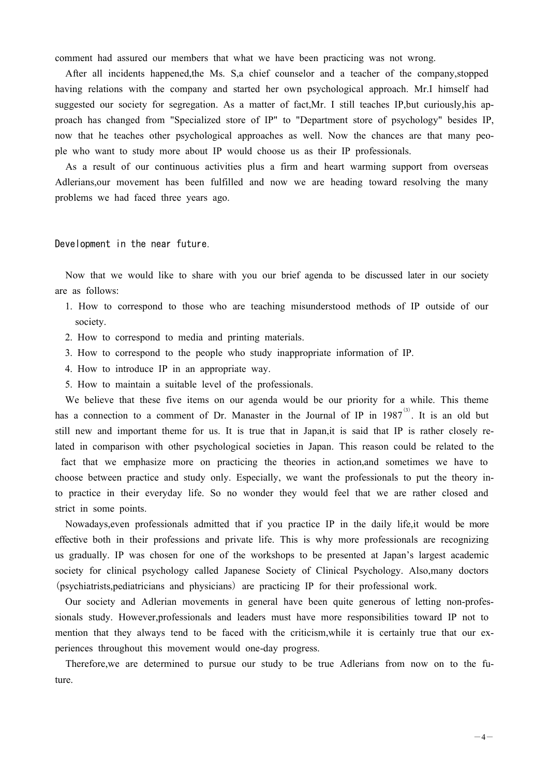comment had assured our members that what we have been practicing was not wrong.

After all incidents happened,the Ms. S,a chief counselor and a teacher of the company,stopped having relations with the company and started her own psychological approach. Mr.I himself had suggested our society for segregation. As a matter of fact,Mr. I still teaches IP,but curiously,his approach has changed from "Specialized store of IP" to "Department store of psychology" besides IP, now that he teaches other psychological approaches as well. Now the chances are that many people who want to study more about IP would choose us as their IP professionals.

As a result of our continuous activities plus a firm and heart warming support from overseas Adlerians,our movement has been fulfilled and now we are heading toward resolving the many problems we had faced three years ago.

Development in the near future.

Now that we would like to share with you our brief agenda to be discussed later in our society are as follows:

- 1. How to correspond to those who are teaching misunderstood methods of IP outside of our society.
- 2. How to correspond to media and printing materials.
- 3. How to correspond to the people who study inappropriate information of IP.
- 4. How to introduce IP in an appropriate way.
- 5. How to maintain a suitable level of the professionals.

We believe that these five items on our agenda would be our priority for a while. This theme has a connection to a comment of Dr. Manaster in the Journal of IP in  $1987<sup>(3)</sup>$ . It is an old but still new and important theme for us. It is true that in Japan,it is said that IP is rather closely related in comparison with other psychological societies in Japan. This reason could be related to the

fact that we emphasize more on practicing the theories in action,and sometimes we have to choose between practice and study only. Especially, we want the professionals to put the theory into practice in their everyday life. So no wonder they would feel that we are rather closed and strict in some points.

Nowadays,even professionals admitted that if you practice IP in the daily life,it would be more effective both in their professions and private life. This is why more professionals are recognizing us gradually. IP was chosen for one of the workshops to be presented at Japan's largest academic society for clinical psychology called Japanese Society of Clinical Psychology. Also,many doctors (psychiatrists,pediatricians and physicians) are practicing IP for their professional work.

Our society and Adlerian movements in general have been quite generous of letting non-professionals study. However,professionals and leaders must have more responsibilities toward IP not to mention that they always tend to be faced with the criticism,while it is certainly true that our experiences throughout this movement would one-day progress.

Therefore,we are determined to pursue our study to be true Adlerians from now on to the future.